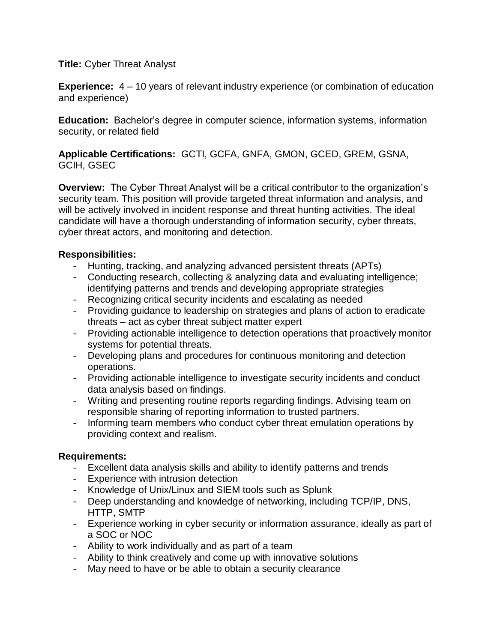**Title:** Cyber Threat Analyst

**Experience:** 4 – 10 years of relevant industry experience (or combination of education and experience)

**Education:** Bachelor's degree in computer science, information systems, information security, or related field

**Applicable Certifications:** GCTI, GCFA, GNFA, GMON, GCED, GREM, GSNA, GCIH, GSEC

**Overview:** The Cyber Threat Analyst will be a critical contributor to the organization's security team. This position will provide targeted threat information and analysis, and will be actively involved in incident response and threat hunting activities. The ideal candidate will have a thorough understanding of information security, cyber threats, cyber threat actors, and monitoring and detection.

## **Responsibilities:**

- Hunting, tracking, and analyzing advanced persistent threats (APTs)
- Conducting research, collecting & analyzing data and evaluating intelligence; identifying patterns and trends and developing appropriate strategies
- Recognizing critical security incidents and escalating as needed
- Providing guidance to leadership on strategies and plans of action to eradicate threats – act as cyber threat subject matter expert
- Providing actionable intelligence to detection operations that proactively monitor systems for potential threats.
- Developing plans and procedures for continuous monitoring and detection operations.
- Providing actionable intelligence to investigate security incidents and conduct data analysis based on findings.
- Writing and presenting routine reports regarding findings. Advising team on responsible sharing of reporting information to trusted partners.
- Informing team members who conduct cyber threat emulation operations by providing context and realism.

## **Requirements:**

- Excellent data analysis skills and ability to identify patterns and trends
- Experience with intrusion detection
- Knowledge of Unix/Linux and SIEM tools such as Splunk
- Deep understanding and knowledge of networking, including TCP/IP, DNS, HTTP, SMTP
- Experience working in cyber security or information assurance, ideally as part of a SOC or NOC
- Ability to work individually and as part of a team
- Ability to think creatively and come up with innovative solutions
- May need to have or be able to obtain a security clearance